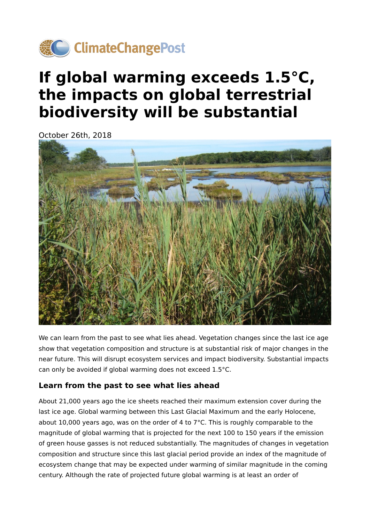

# **If global warming exceeds 1.5°C, the impacts on global terrestrial biodiversity will be substantial**

October 26th, 2018



We can learn from the past to see what lies ahead. Vegetation changes since the last ice age show that vegetation composition and structure is at substantial risk of major changes in the near future. This will disrupt ecosystem services and impact biodiversity. Substantial impacts can only be avoided if global warming does not exceed 1.5°C.

#### **Learn from the past to see what lies ahead**

About 21,000 years ago the ice sheets reached their maximum extension cover during the last ice age. Global warming between this Last Glacial Maximum and the early Holocene, about 10,000 years ago, was on the order of 4 to 7°C. This is roughly comparable to the magnitude of global warming that is projected for the next 100 to 150 years if the emission of green house gasses is not reduced substantially. The magnitudes of changes in vegetation composition and structure since this last glacial period provide an index of the magnitude of ecosystem change that may be expected under warming of similar magnitude in the coming century. Although the rate of projected future global warming is at least an order of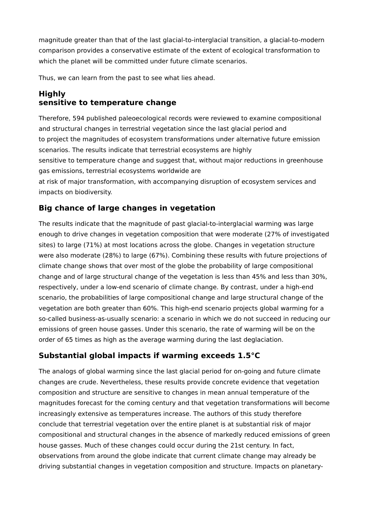magnitude greater than that of the last glacial-to-interglacial transition, a glacial-to-modern comparison provides a conservative estimate of the extent of ecological transformation to which the planet will be committed under future climate scenarios.

Thus, we can learn from the past to see what lies ahead.

### **Highly sensitive to temperature change**

Therefore, 594 published paleoecological records were reviewed to examine compositional and structural changes in terrestrial vegetation since the last glacial period and to project the magnitudes of ecosystem transformations under alternative future emission scenarios. The results indicate that terrestrial ecosystems are highly sensitive to temperature change and suggest that, without major reductions in greenhouse gas emissions, terrestrial ecosystems worldwide are at risk of major transformation, with accompanying disruption of ecosystem services and

impacts on biodiversity.

## **Big chance of large changes in vegetation**

The results indicate that the magnitude of past glacial-to-interglacial warming was large enough to drive changes in vegetation composition that were moderate (27% of investigated sites) to large (71%) at most locations across the globe. Changes in vegetation structure were also moderate (28%) to large (67%). Combining these results with future projections of climate change shows that over most of the globe the probability of large compositional change and of large structural change of the vegetation is less than 45% and less than 30%, respectively, under a low-end scenario of climate change. By contrast, under a high-end scenario, the probabilities of large compositional change and large structural change of the vegetation are both greater than 60%. This high-end scenario projects global warming for a so-called business-as-usually scenario: a scenario in which we do not succeed in reducing our emissions of green house gasses. Under this scenario, the rate of warming will be on the order of 65 times as high as the average warming during the last deglaciation.

#### **Substantial global impacts if warming exceeds 1.5°C**

The analogs of global warming since the last glacial period for on-going and future climate changes are crude. Nevertheless, these results provide concrete evidence that vegetation composition and structure are sensitive to changes in mean annual temperature of the magnitudes forecast for the coming century and that vegetation transformations will become increasingly extensive as temperatures increase. The authors of this study therefore conclude that terrestrial vegetation over the entire planet is at substantial risk of major compositional and structural changes in the absence of markedly reduced emissions of green house gasses. Much of these changes could occur during the 21st century. In fact, observations from around the globe indicate that current climate change may already be driving substantial changes in vegetation composition and structure. Impacts on planetary